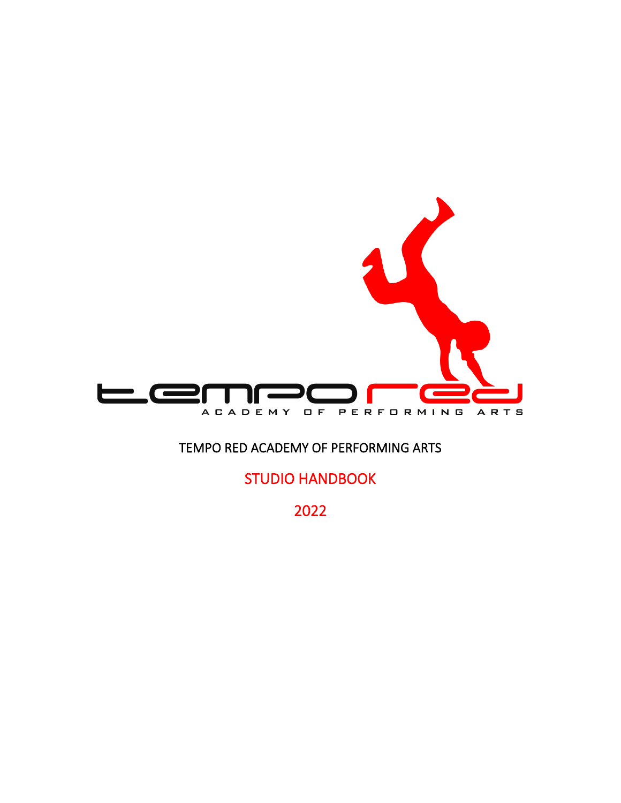

# TEMPO RED ACADEMY OF PERFORMING ARTS

STUDIO HANDBOOK

2022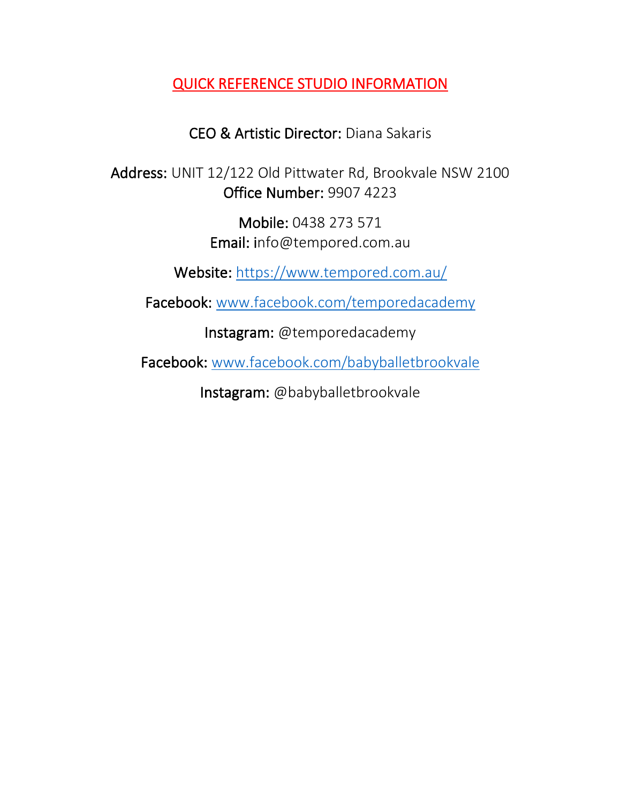# QUICK REFERENCE STUDIO INFORMATION

# CEO & Artistic Director: Diana Sakaris

Address: UNIT 12/122 Old Pittwater Rd, Brookvale NSW 2100 Office Number: 9907 4223

> Mobile: 0438 273 571 Email: info@tempored.com.au

Website:<https://www.tempored.com.au/>

Facebook: [www.facebook.com/temporedacademy](http://www.facebook.com/temporedacademy)

Instagram: @temporedacademy

Facebook: [www.facebook.com/babyballetbrookvale](http://www.facebook.com/babyballetbrookvale)

Instagram: @babyballetbrookvale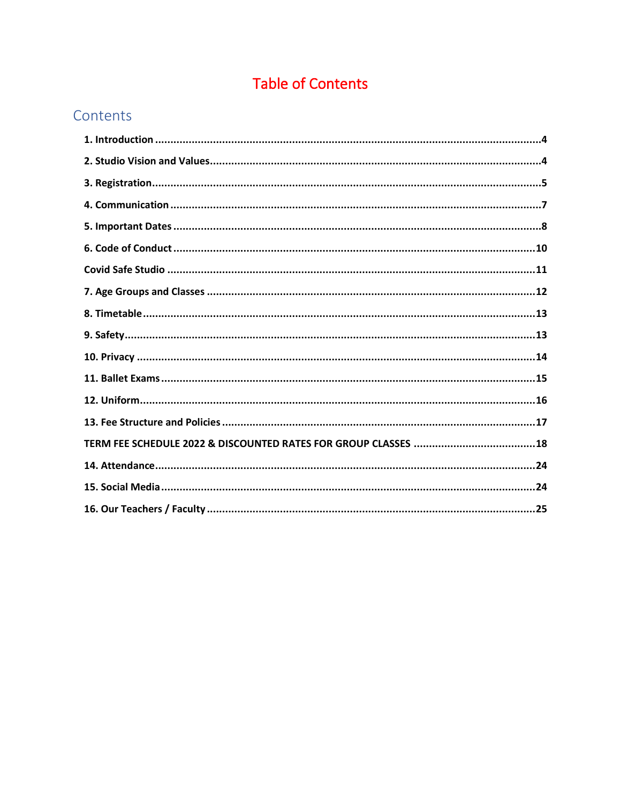# **Table of Contents**

# Contents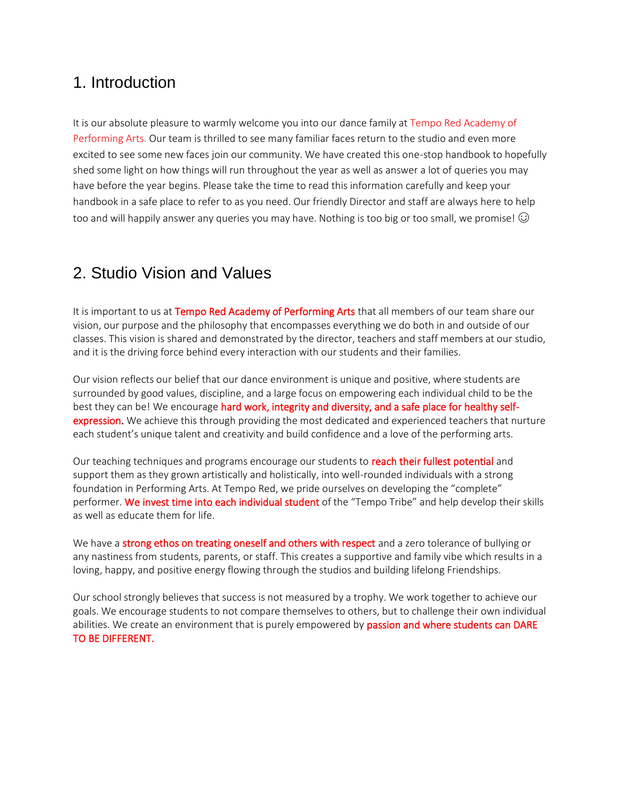# <span id="page-3-0"></span>1. Introduction

It is our absolute pleasure to warmly welcome you into our dance family at Tempo Red Academy of Performing Arts. Our team is thrilled to see many familiar faces return to the studio and even more excited to see some new faces join our community. We have created this one-stop handbook to hopefully shed some light on how things will run throughout the year as well as answer a lot of queries you may have before the year begins. Please take the time to read this information carefully and keep your handbook in a safe place to refer to as you need. Our friendly Director and staff are always here to help too and will happily answer any queries you may have. Nothing is too big or too small, we promise!  $\odot$ 

# <span id="page-3-1"></span>2. Studio Vision and Values

It is important to us at Tempo Red Academy of Performing Arts that all members of our team share our vision, our purpose and the philosophy that encompasses everything we do both in and outside of our classes. This vision is shared and demonstrated by the director, teachers and staff members at our studio, and it is the driving force behind every interaction with our students and their families.

Our vision reflects our belief that our dance environment is unique and positive, where students are surrounded by good values, discipline, and a large focus on empowering each individual child to be the best they can be! We encourage hard work, integrity and diversity, and a safe place for healthy selfexpression. We achieve this through providing the most dedicated and experienced teachers that nurture each student's unique talent and creativity and build confidence and a love of the performing arts.

Our teaching techniques and programs encourage our students to reach their fullest potential and support them as they grown artistically and holistically, into well-rounded individuals with a strong foundation in Performing Arts. At Tempo Red, we pride ourselves on developing the "complete" performer. We invest time into each individual student of the "Tempo Tribe" and help develop their skills as well as educate them for life.

We have a strong ethos on treating oneself and others with respect and a zero tolerance of bullying or any nastiness from students, parents, or staff. This creates a supportive and family vibe which results in a loving, happy, and positive energy flowing through the studios and building lifelong Friendships.

Our school strongly believes that success is not measured by a trophy. We work together to achieve our goals. We encourage students to not compare themselves to others, but to challenge their own individual abilities. We create an environment that is purely empowered by passion and where students can DARE TO BE DIFFERENT.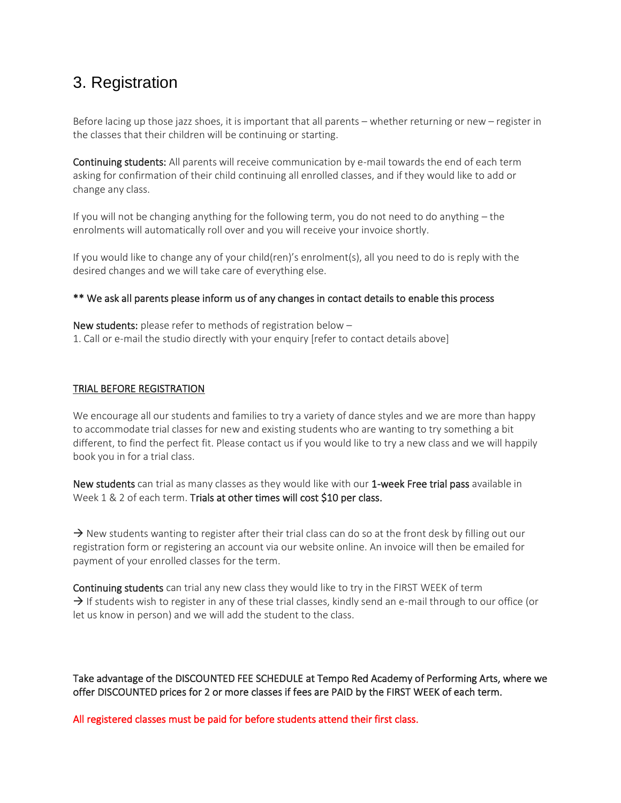# <span id="page-4-0"></span>3. Registration

Before lacing up those jazz shoes, it is important that all parents – whether returning or new – register in the classes that their children will be continuing or starting.

Continuing students: All parents will receive communication by e-mail towards the end of each term asking for confirmation of their child continuing all enrolled classes, and if they would like to add or change any class.

If you will not be changing anything for the following term, you do not need to do anything – the enrolments will automatically roll over and you will receive your invoice shortly.

If you would like to change any of your child(ren)'s enrolment(s), all you need to do is reply with the desired changes and we will take care of everything else.

### \*\* We ask all parents please inform us of any changes in contact details to enable this process

New students: please refer to methods of registration below – 1. Call or e-mail the studio directly with your enquiry [refer to contact details above]

### TRIAL BEFORE REGISTRATION

We encourage all our students and families to try a variety of dance styles and we are more than happy to accommodate trial classes for new and existing students who are wanting to try something a bit different, to find the perfect fit. Please contact us if you would like to try a new class and we will happily book you in for a trial class.

New students can trial as many classes as they would like with our 1-week Free trial pass available in Week 1 & 2 of each term. Trials at other times will cost \$10 per class.

 $\rightarrow$  New students wanting to register after their trial class can do so at the front desk by filling out our registration form or registering an account via our website online. An invoice will then be emailed for payment of your enrolled classes for the term.

Continuing students can trial any new class they would like to try in the FIRST WEEK of term  $\rightarrow$  If students wish to register in any of these trial classes, kindly send an e-mail through to our office (or let us know in person) and we will add the student to the class.

Take advantage of the DISCOUNTED FEE SCHEDULE at Tempo Red Academy of Performing Arts, where we offer DISCOUNTED prices for 2 or more classes if fees are PAID by the FIRST WEEK of each term.

All registered classes must be paid for before students attend their first class.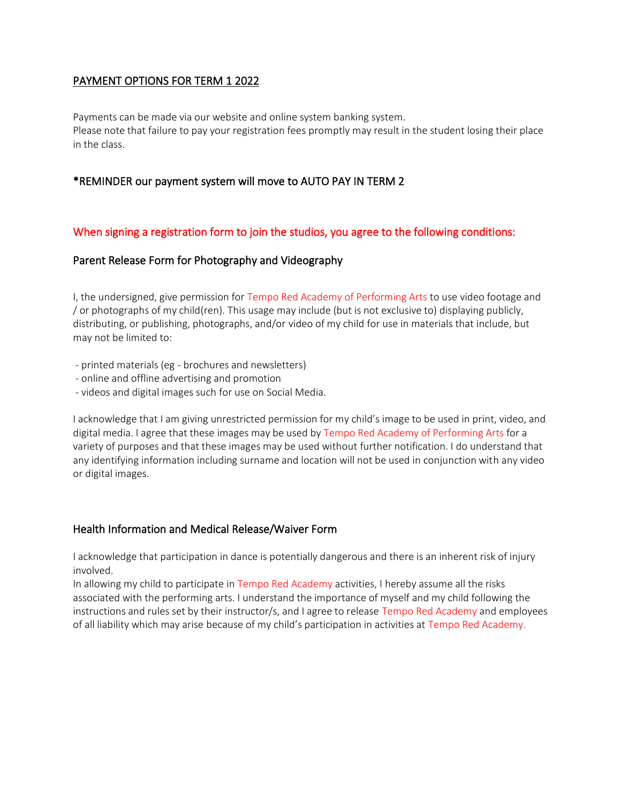# PAYMENT OPTIONS FOR TERM 1 2022

Payments can be made via our website and online system banking system. Please note that failure to pay your registration fees promptly may result in the student losing their place in the class.

# \*REMINDER our payment system will move to AUTO PAY IN TERM 2

# When signing a registration form to join the studios, you agree to the following conditions:

# Parent Release Form for Photography and Videography

I, the undersigned, give permission for Tempo Red Academy of Performing Arts to use video footage and / or photographs of my child(ren). This usage may include (but is not exclusive to) displaying publicly, distributing, or publishing, photographs, and/or video of my child for use in materials that include, but may not be limited to:

- printed materials (eg brochures and newsletters)
- online and offline advertising and promotion
- videos and digital images such for use on Social Media.

I acknowledge that I am giving unrestricted permission for my child's image to be used in print, video, and digital media. I agree that these images may be used by Tempo Red Academy of Performing Arts for a variety of purposes and that these images may be used without further notification. I do understand that any identifying information including surname and location will not be used in conjunction with any video or digital images.

# Health Information and Medical Release/Waiver Form

I acknowledge that participation in dance is potentially dangerous and there is an inherent risk of injury involved.

In allowing my child to participate in Tempo Red Academy activities, I hereby assume all the risks associated with the performing arts. I understand the importance of myself and my child following the instructions and rules set by their instructor/s, and I agree to release Tempo Red Academy and employees of all liability which may arise because of my child's participation in activities at Tempo Red Academy.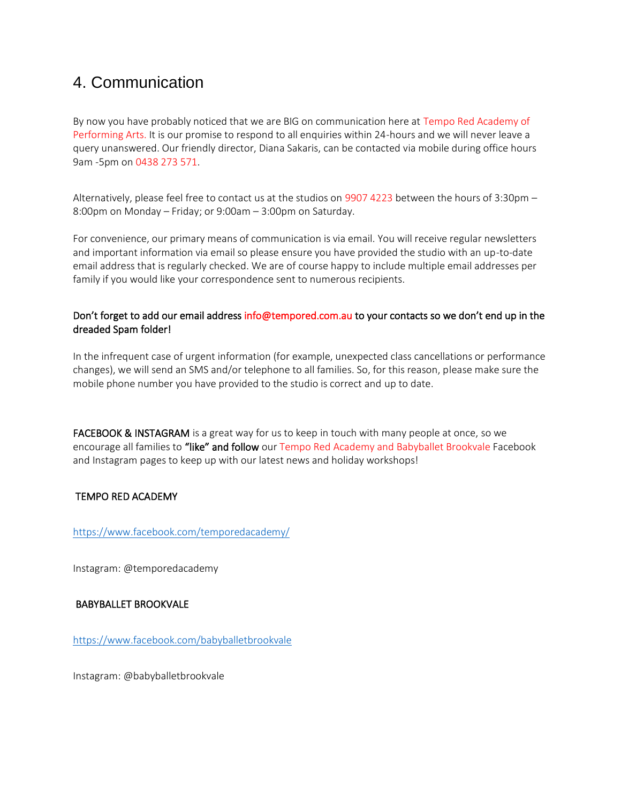# <span id="page-6-0"></span>4. Communication

By now you have probably noticed that we are BIG on communication here at Tempo Red Academy of Performing Arts. It is our promise to respond to all enquiries within 24-hours and we will never leave a query unanswered. Our friendly director, Diana Sakaris, can be contacted via mobile during office hours 9am -5pm on 0438 273 571.

Alternatively, please feel free to contact us at the studios on 9907 4223 between the hours of 3:30pm – 8:00pm on Monday – Friday; or 9:00am – 3:00pm on Saturday.

For convenience, our primary means of communication is via email. You will receive regular newsletters and important information via email so please ensure you have provided the studio with an up-to-date email address that is regularly checked. We are of course happy to include multiple email addresses per family if you would like your correspondence sent to numerous recipients.

# Don't forget to add our email address info@tempored.com.au to your contacts so we don't end up in the dreaded Spam folder!

In the infrequent case of urgent information (for example, unexpected class cancellations or performance changes), we will send an SMS and/or telephone to all families. So, for this reason, please make sure the mobile phone number you have provided to the studio is correct and up to date.

FACEBOOK & INSTAGRAM is a great way for us to keep in touch with many people at once, so we encourage all families to "like" and follow our Tempo Red Academy and Babyballet Brookvale Facebook and Instagram pages to keep up with our latest news and holiday workshops!

# TEMPO RED ACADEMY

<https://www.facebook.com/temporedacademy/>

Instagram: @temporedacademy

# BABYBALLET BROOKVALE

<https://www.facebook.com/babyballetbrookvale>

Instagram: @babyballetbrookvale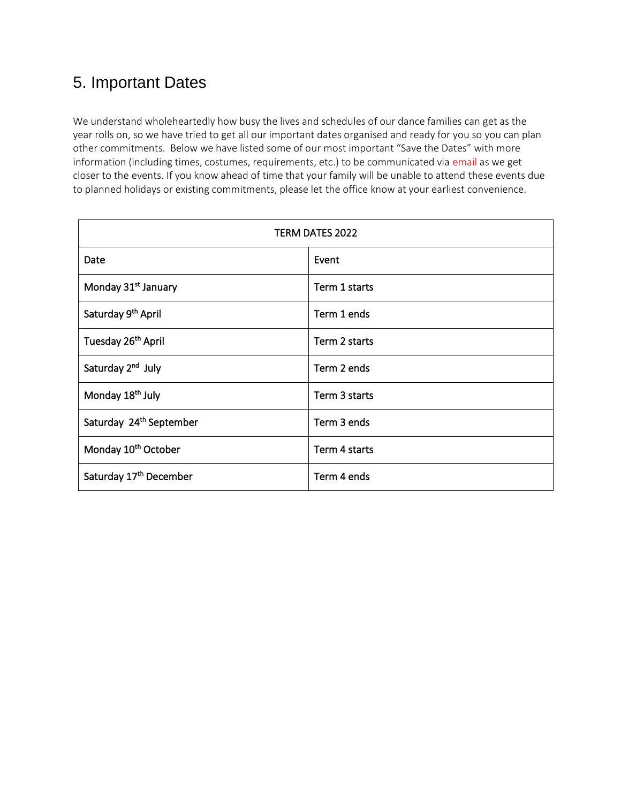# <span id="page-7-0"></span>5. Important Dates

We understand wholeheartedly how busy the lives and schedules of our dance families can get as the year rolls on, so we have tried to get all our important dates organised and ready for you so you can plan other commitments. Below we have listed some of our most important "Save the Dates" with more information (including times, costumes, requirements, etc.) to be communicated via email as we get closer to the events. If you know ahead of time that your family will be unable to attend these events due to planned holidays or existing commitments, please let the office know at your earliest convenience.

| TERM DATES 2022                     |               |  |  |
|-------------------------------------|---------------|--|--|
| Date                                | Event         |  |  |
| Monday 31 <sup>st</sup> January     | Term 1 starts |  |  |
| Saturday 9 <sup>th</sup> April      | Term 1 ends   |  |  |
| Tuesday 26 <sup>th</sup> April      | Term 2 starts |  |  |
| Saturday 2 <sup>nd</sup> July       | Term 2 ends   |  |  |
| Monday 18 <sup>th</sup> July        | Term 3 starts |  |  |
| Saturday 24 <sup>th</sup> September | Term 3 ends   |  |  |
| Monday 10 <sup>th</sup> October     | Term 4 starts |  |  |
| Saturday 17th December              | Term 4 ends   |  |  |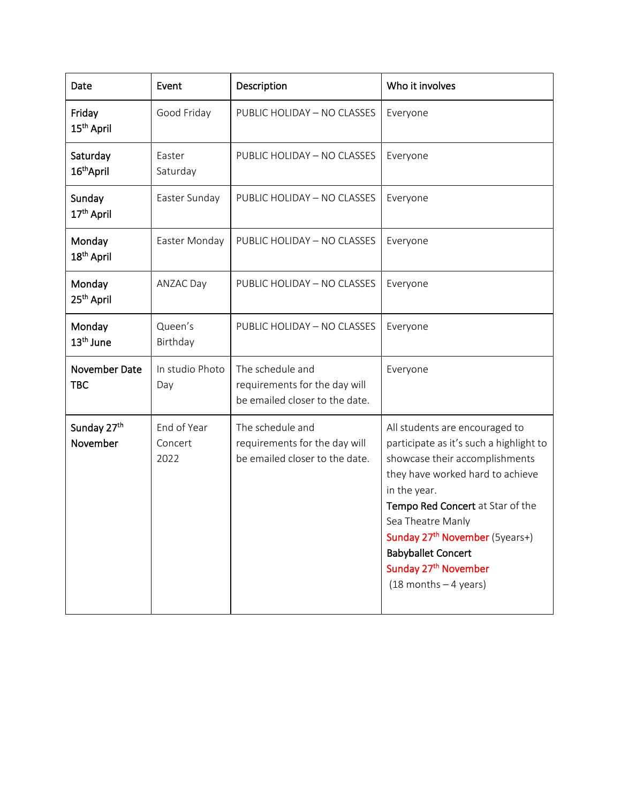| Date                                | Event                          | Description                                                                         | Who it involves                                                                                                                                                                                                                                                                                                                                                     |
|-------------------------------------|--------------------------------|-------------------------------------------------------------------------------------|---------------------------------------------------------------------------------------------------------------------------------------------------------------------------------------------------------------------------------------------------------------------------------------------------------------------------------------------------------------------|
| Friday<br>15 <sup>th</sup> April    | Good Friday                    | PUBLIC HOLIDAY - NO CLASSES                                                         | Everyone                                                                                                                                                                                                                                                                                                                                                            |
| Saturday<br>16 <sup>th</sup> April  | Easter<br>Saturday             | PUBLIC HOLIDAY - NO CLASSES                                                         | Everyone                                                                                                                                                                                                                                                                                                                                                            |
| Sunday<br>17 <sup>th</sup> April    | Easter Sunday                  | PUBLIC HOLIDAY - NO CLASSES                                                         | Everyone                                                                                                                                                                                                                                                                                                                                                            |
| Monday<br>18 <sup>th</sup> April    | Easter Monday                  | PUBLIC HOLIDAY - NO CLASSES                                                         | Everyone                                                                                                                                                                                                                                                                                                                                                            |
| Monday<br>25 <sup>th</sup> April    | ANZAC Day                      | PUBLIC HOLIDAY - NO CLASSES                                                         | Everyone                                                                                                                                                                                                                                                                                                                                                            |
| Monday<br>13 <sup>th</sup> June     | Queen's<br>Birthday            | PUBLIC HOLIDAY - NO CLASSES                                                         | Everyone                                                                                                                                                                                                                                                                                                                                                            |
| November Date<br><b>TBC</b>         | In studio Photo<br>Day         | The schedule and<br>requirements for the day will<br>be emailed closer to the date. | Everyone                                                                                                                                                                                                                                                                                                                                                            |
| Sunday 27 <sup>th</sup><br>November | End of Year<br>Concert<br>2022 | The schedule and<br>requirements for the day will<br>be emailed closer to the date. | All students are encouraged to<br>participate as it's such a highlight to<br>showcase their accomplishments<br>they have worked hard to achieve<br>in the year.<br>Tempo Red Concert at Star of the<br>Sea Theatre Manly<br>Sunday 27 <sup>th</sup> November (5years+)<br><b>Babyballet Concert</b><br>Sunday 27 <sup>th</sup> November<br>$(18$ months $-4$ years) |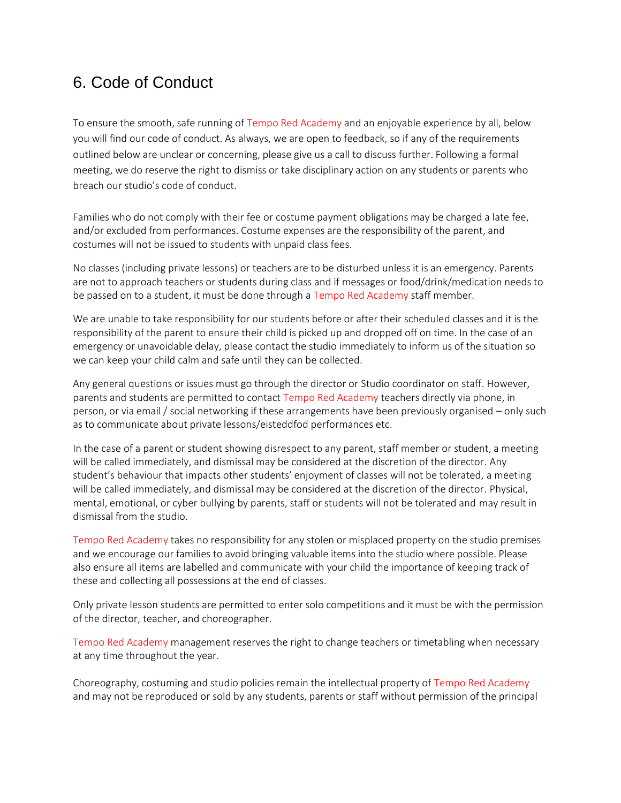# <span id="page-9-0"></span>6. Code of Conduct

To ensure the smooth, safe running of Tempo Red Academy and an enjoyable experience by all, below you will find our code of conduct. As always, we are open to feedback, so if any of the requirements outlined below are unclear or concerning, please give us a call to discuss further. Following a formal meeting, we do reserve the right to dismiss or take disciplinary action on any students or parents who breach our studio's code of conduct.

Families who do not comply with their fee or costume payment obligations may be charged a late fee, and/or excluded from performances. Costume expenses are the responsibility of the parent, and costumes will not be issued to students with unpaid class fees.

No classes (including private lessons) or teachers are to be disturbed unless it is an emergency. Parents are not to approach teachers or students during class and if messages or food/drink/medication needs to be passed on to a student, it must be done through a Tempo Red Academy staff member.

We are unable to take responsibility for our students before or after their scheduled classes and it is the responsibility of the parent to ensure their child is picked up and dropped off on time. In the case of an emergency or unavoidable delay, please contact the studio immediately to inform us of the situation so we can keep your child calm and safe until they can be collected.

Any general questions or issues must go through the director or Studio coordinator on staff. However, parents and students are permitted to contact Tempo Red Academy teachers directly via phone, in person, or via email / social networking if these arrangements have been previously organised – only such as to communicate about private lessons/eisteddfod performances etc.

In the case of a parent or student showing disrespect to any parent, staff member or student, a meeting will be called immediately, and dismissal may be considered at the discretion of the director. Any student's behaviour that impacts other students' enjoyment of classes will not be tolerated, a meeting will be called immediately, and dismissal may be considered at the discretion of the director. Physical, mental, emotional, or cyber bullying by parents, staff or students will not be tolerated and may result in dismissal from the studio.

Tempo Red Academy takes no responsibility for any stolen or misplaced property on the studio premises and we encourage our families to avoid bringing valuable items into the studio where possible. Please also ensure all items are labelled and communicate with your child the importance of keeping track of these and collecting all possessions at the end of classes.

Only private lesson students are permitted to enter solo competitions and it must be with the permission of the director, teacher, and choreographer.

Tempo Red Academy management reserves the right to change teachers or timetabling when necessary at any time throughout the year.

Choreography, costuming and studio policies remain the intellectual property of Tempo Red Academy and may not be reproduced or sold by any students, parents or staff without permission of the principal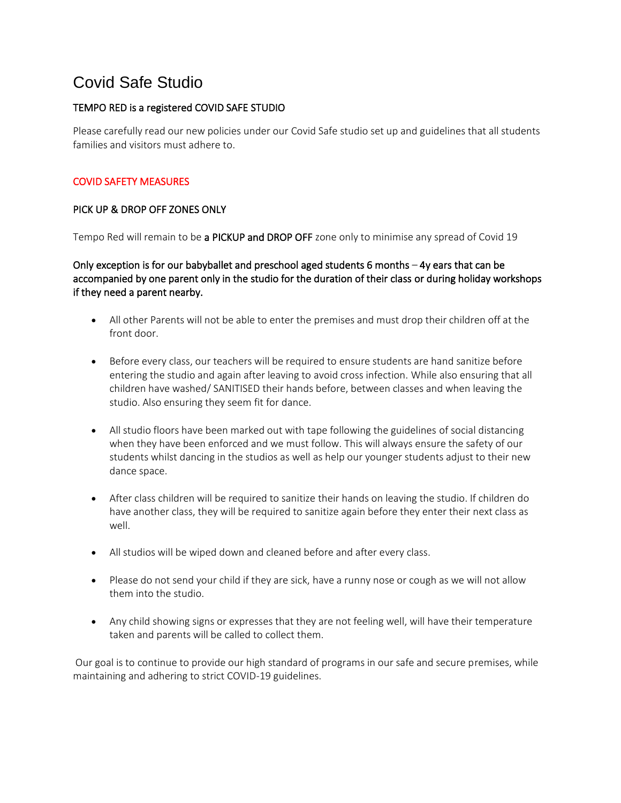# <span id="page-10-0"></span>Covid Safe Studio

# TEMPO RED is a registered COVID SAFE STUDIO

Please carefully read our new policies under our Covid Safe studio set up and guidelines that all students families and visitors must adhere to.

# COVID SAFETY MEASURES

# PICK UP & DROP OFF ZONES ONLY

Tempo Red will remain to be a PICKUP and DROP OFF zone only to minimise any spread of Covid 19

Only exception is for our babyballet and preschool aged students 6 months  $-4y$  ears that can be accompanied by one parent only in the studio for the duration of their class or during holiday workshops if they need a parent nearby.

- All other Parents will not be able to enter the premises and must drop their children off at the front door.
- Before every class, our teachers will be required to ensure students are hand sanitize before entering the studio and again after leaving to avoid cross infection. While also ensuring that all children have washed/ SANITISED their hands before, between classes and when leaving the studio. Also ensuring they seem fit for dance.
- All studio floors have been marked out with tape following the guidelines of social distancing when they have been enforced and we must follow. This will always ensure the safety of our students whilst dancing in the studios as well as help our younger students adjust to their new dance space.
- After class children will be required to sanitize their hands on leaving the studio. If children do have another class, they will be required to sanitize again before they enter their next class as well.
- All studios will be wiped down and cleaned before and after every class.
- Please do not send your child if they are sick, have a runny nose or cough as we will not allow them into the studio.
- Any child showing signs or expresses that they are not feeling well, will have their temperature taken and parents will be called to collect them.

Our goal is to continue to provide our high standard of programs in our safe and secure premises, while maintaining and adhering to strict COVID-19 guidelines.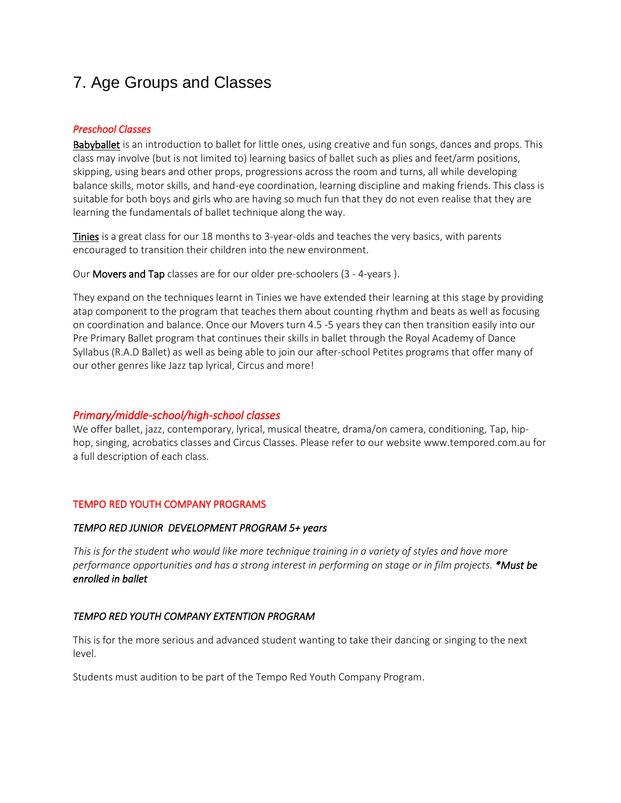# <span id="page-11-0"></span>7. Age Groups and Classes

### *Preschool Classes*

Babyballet is an introduction to ballet for little ones, using creative and fun songs, dances and props. This class may involve (but is not limited to) learning basics of ballet such as plies and feet/arm positions, skipping, using bears and other props, progressions across the room and turns, all while developing balance skills, motor skills, and hand-eye coordination, learning discipline and making friends. This class is suitable for both boys and girls who are having so much fun that they do not even realise that they are learning the fundamentals of ballet technique along the way.

Tinies is a great class for our 18 months to 3-year-olds and teaches the very basics, with parents encouraged to transition their children into the new environment.

Our Movers and Tap classes are for our older pre-schoolers (3 - 4-years ).

They expand on the techniques learnt in Tinies we have extended their learning at this stage by providing atap component to the program that teaches them about counting rhythm and beats as well as focusing on coordination and balance. Once our Movers turn 4.5 -5 years they can then transition easily into our Pre Primary Ballet program that continues their skills in ballet through the Royal Academy of Dance Syllabus (R.A.D Ballet) as well as being able to join our after-school Petites programs that offer many of our other genres like Jazz tap lyrical, Circus and more!

# *Primary/middle-school/high-school classes*

We offer ballet, jazz, contemporary, lyrical, musical theatre, drama/on camera, conditioning, Tap, hiphop, singing, acrobatics classes and Circus Classes. Please refer to our website www.tempored.com.au for a full description of each class.

### TEMPO RED YOUTH COMPANY PROGRAMS

### *TEMPO RED JUNIOR DEVELOPMENT PROGRAM 5+ years*

*This is for the student who would like more technique training in a variety of styles and have more performance opportunities and has a strong interest in performing on stage or in film projects. \*Must be enrolled in ballet* 

# *TEMPO RED YOUTH COMPANY EXTENTION PROGRAM*

This is for the more serious and advanced student wanting to take their dancing or singing to the next level.

Students must audition to be part of the Tempo Red Youth Company Program.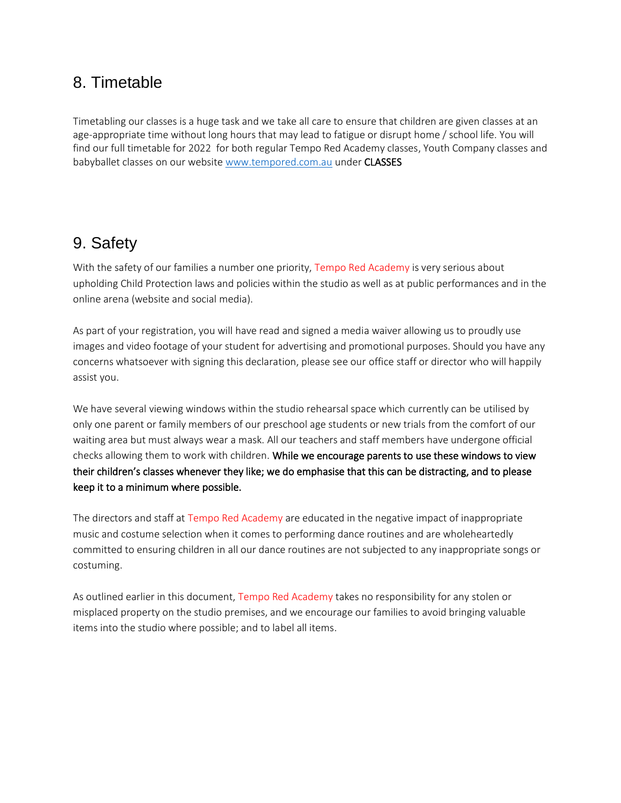# <span id="page-12-0"></span>8. Timetable

Timetabling our classes is a huge task and we take all care to ensure that children are given classes at an age-appropriate time without long hours that may lead to fatigue or disrupt home / school life. You will find our full timetable for 2022 for both regular Tempo Red Academy classes, Youth Company classes and babyballet classes on our website [www.tempored.com.au](http://www.tempored.com.au/) under CLASSES

# <span id="page-12-1"></span>9. Safety

With the safety of our families a number one priority, Tempo Red Academy is very serious about upholding Child Protection laws and policies within the studio as well as at public performances and in the online arena (website and social media).

As part of your registration, you will have read and signed a media waiver allowing us to proudly use images and video footage of your student for advertising and promotional purposes. Should you have any concerns whatsoever with signing this declaration, please see our office staff or director who will happily assist you.

We have several viewing windows within the studio rehearsal space which currently can be utilised by only one parent or family members of our preschool age students or new trials from the comfort of our waiting area but must always wear a mask. All our teachers and staff members have undergone official checks allowing them to work with children. While we encourage parents to use these windows to view their children's classes whenever they like; we do emphasise that this can be distracting, and to please keep it to a minimum where possible.

The directors and staff at Tempo Red Academy are educated in the negative impact of inappropriate music and costume selection when it comes to performing dance routines and are wholeheartedly committed to ensuring children in all our dance routines are not subjected to any inappropriate songs or costuming.

As outlined earlier in this document, Tempo Red Academy takes no responsibility for any stolen or misplaced property on the studio premises, and we encourage our families to avoid bringing valuable items into the studio where possible; and to label all items.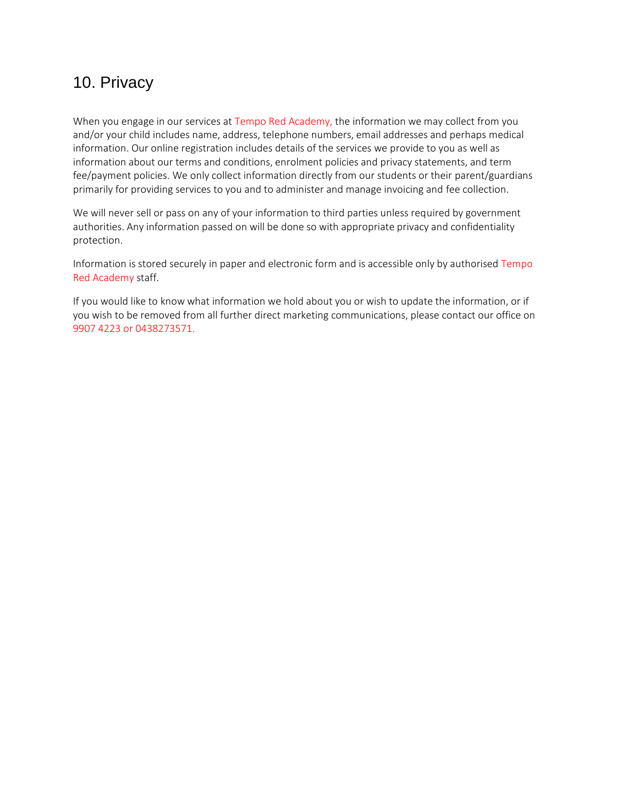# <span id="page-13-0"></span>10. Privacy

When you engage in our services at Tempo Red Academy, the information we may collect from you and/or your child includes name, address, telephone numbers, email addresses and perhaps medical information. Our online registration includes details of the services we provide to you as well as information about our terms and conditions, enrolment policies and privacy statements, and term fee/payment policies. We only collect information directly from our students or their parent/guardians primarily for providing services to you and to administer and manage invoicing and fee collection.

We will never sell or pass on any of your information to third parties unless required by government authorities. Any information passed on will be done so with appropriate privacy and confidentiality protection.

Information is stored securely in paper and electronic form and is accessible only by authorised Tempo Red Academy staff.

If you would like to know what information we hold about you or wish to update the information, or if you wish to be removed from all further direct marketing communications, please contact our office on 9907 4223 or 0438273571.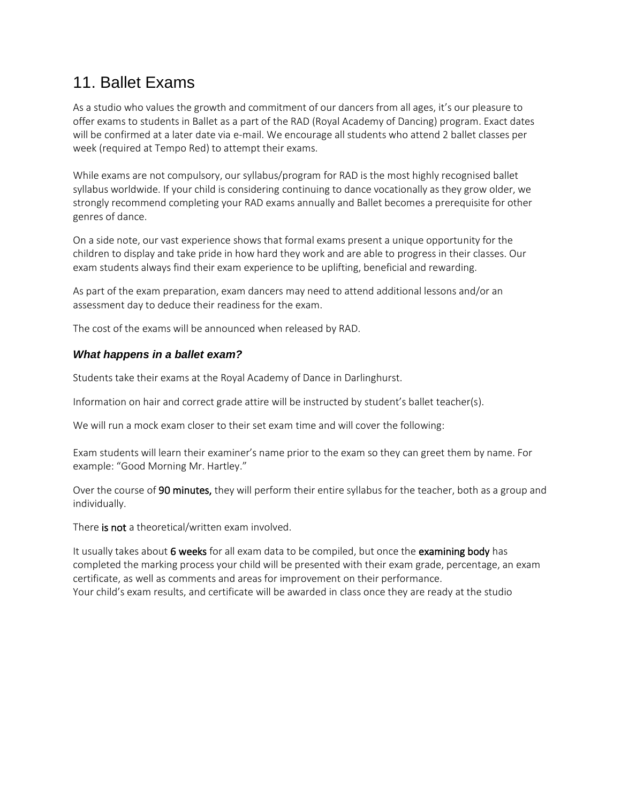# <span id="page-14-0"></span>11. Ballet Exams

As a studio who values the growth and commitment of our dancers from all ages, it's our pleasure to offer exams to students in Ballet as a part of the RAD (Royal Academy of Dancing) program. Exact dates will be confirmed at a later date via e-mail. We encourage all students who attend 2 ballet classes per week (required at Tempo Red) to attempt their exams.

While exams are not compulsory, our syllabus/program for RAD is the most highly recognised ballet syllabus worldwide. If your child is considering continuing to dance vocationally as they grow older, we strongly recommend completing your RAD exams annually and Ballet becomes a prerequisite for other genres of dance.

On a side note, our vast experience shows that formal exams present a unique opportunity for the children to display and take pride in how hard they work and are able to progress in their classes. Our exam students always find their exam experience to be uplifting, beneficial and rewarding.

As part of the exam preparation, exam dancers may need to attend additional lessons and/or an assessment day to deduce their readiness for the exam.

The cost of the exams will be announced when released by RAD.

# *What happens in a ballet exam?*

Students take their exams at the Royal Academy of Dance in Darlinghurst.

Information on hair and correct grade attire will be instructed by student's ballet teacher(s).

We will run a mock exam closer to their set exam time and will cover the following:

Exam students will learn their examiner's name prior to the exam so they can greet them by name. For example: "Good Morning Mr. Hartley."

Over the course of 90 minutes, they will perform their entire syllabus for the teacher, both as a group and individually.

There is not a theoretical/written exam involved.

It usually takes about 6 weeks for all exam data to be compiled, but once the examining body has completed the marking process your child will be presented with their exam grade, percentage, an exam certificate, as well as comments and areas for improvement on their performance. Your child's exam results, and certificate will be awarded in class once they are ready at the studio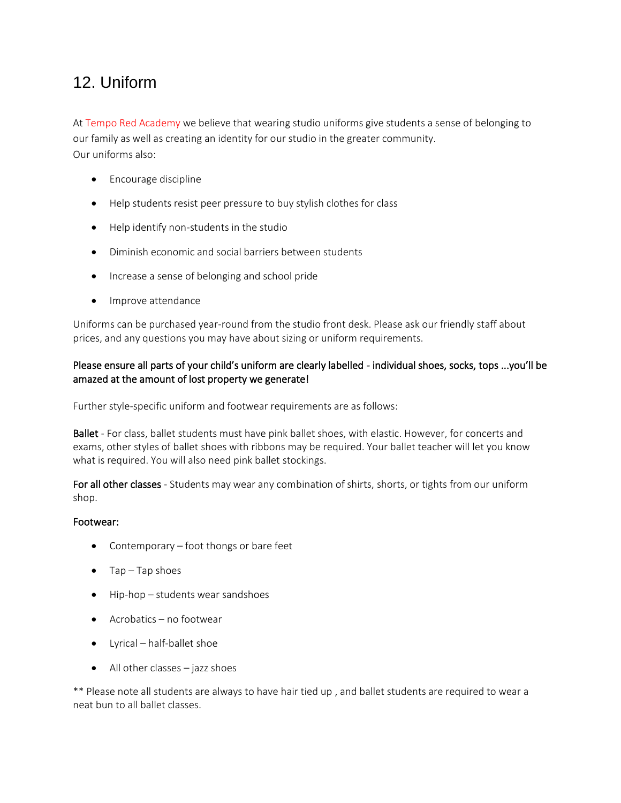# <span id="page-15-0"></span>12. Uniform

At Tempo Red Academy we believe that wearing studio uniforms give students a sense of belonging to our family as well as creating an identity for our studio in the greater community. Our uniforms also:

- Encourage discipline
- Help students resist peer pressure to buy stylish clothes for class
- Help identify non-students in the studio
- Diminish economic and social barriers between students
- Increase a sense of belonging and school pride
- Improve attendance

Uniforms can be purchased year-round from the studio front desk. Please ask our friendly staff about prices, and any questions you may have about sizing or uniform requirements.

# Please ensure all parts of your child's uniform are clearly labelled - individual shoes, socks, tops ...you'll be amazed at the amount of lost property we generate!

Further style-specific uniform and footwear requirements are as follows:

Ballet - For class, ballet students must have pink ballet shoes, with elastic. However, for concerts and exams, other styles of ballet shoes with ribbons may be required. Your ballet teacher will let you know what is required. You will also need pink ballet stockings.

For all other classes - Students may wear any combination of shirts, shorts, or tights from our uniform shop.

# Footwear:

- Contemporary foot thongs or bare feet
- Tap Tap shoes
- Hip-hop students wear sandshoes
- Acrobatics no footwear
- Lyrical half-ballet shoe
- All other classes jazz shoes

\*\* Please note all students are always to have hair tied up , and ballet students are required to wear a neat bun to all ballet classes.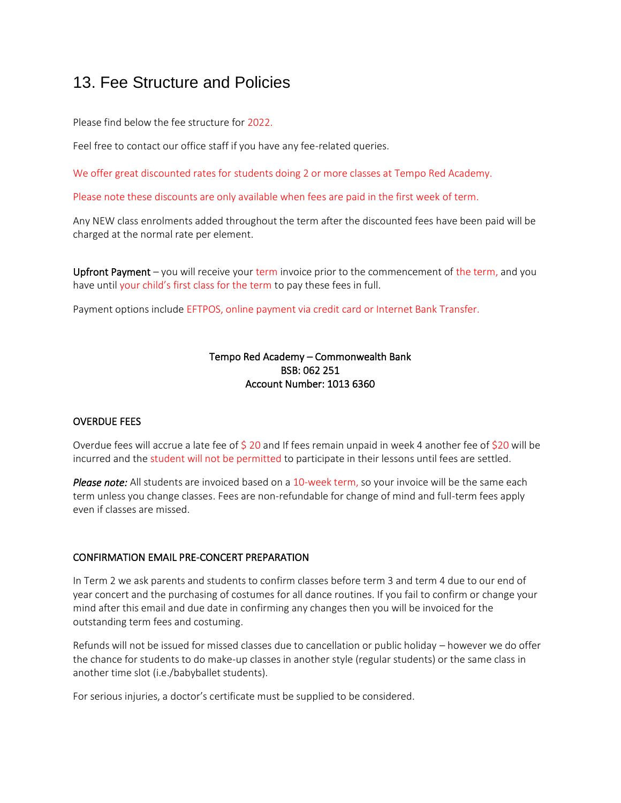# <span id="page-16-0"></span>13. Fee Structure and Policies

Please find below the fee structure for 2022.

Feel free to contact our office staff if you have any fee-related queries.

We offer great discounted rates for students doing 2 or more classes at Tempo Red Academy.

Please note these discounts are only available when fees are paid in the first week of term.

Any NEW class enrolments added throughout the term after the discounted fees have been paid will be charged at the normal rate per element.

Upfront Payment – you will receive your term invoice prior to the commencement of the term, and you have until your child's first class for the term to pay these fees in full.

Payment options include EFTPOS, online payment via credit card or Internet Bank Transfer.

### Tempo Red Academy – Commonwealth Bank BSB: 062 251 Account Number: 1013 6360

### OVERDUE FEES

Overdue fees will accrue a late fee of \$ 20 and If fees remain unpaid in week 4 another fee of \$20 will be incurred and the student will not be permitted to participate in their lessons until fees are settled.

*Please note:* All students are invoiced based on a 10-week term, so your invoice will be the same each term unless you change classes. Fees are non-refundable for change of mind and full-term fees apply even if classes are missed.

### CONFIRMATION EMAIL PRE-CONCERT PREPARATION

In Term 2 we ask parents and students to confirm classes before term 3 and term 4 due to our end of year concert and the purchasing of costumes for all dance routines. If you fail to confirm or change your mind after this email and due date in confirming any changes then you will be invoiced for the outstanding term fees and costuming.

Refunds will not be issued for missed classes due to cancellation or public holiday – however we do offer the chance for students to do make-up classes in another style (regular students) or the same class in another time slot (i.e./babyballet students).

For serious injuries, a doctor's certificate must be supplied to be considered.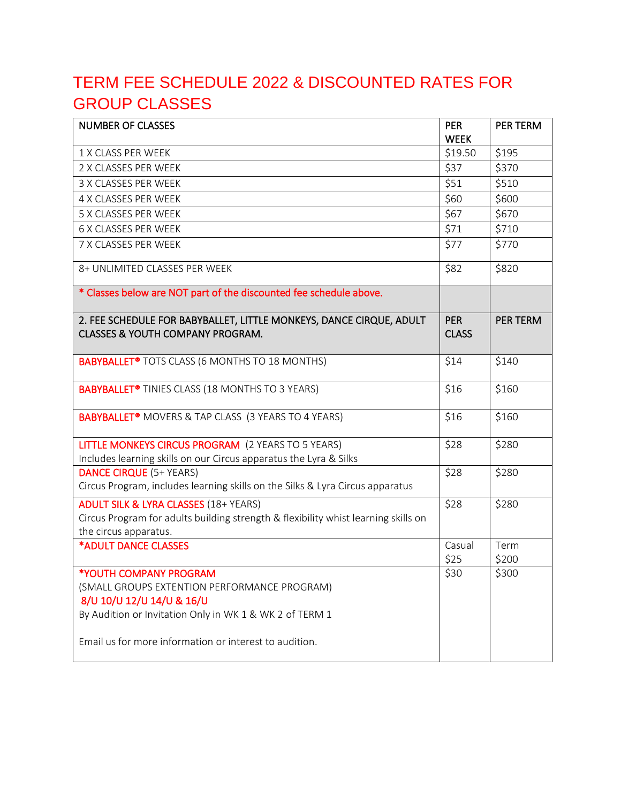# <span id="page-17-0"></span>TERM FEE SCHEDULE 2022 & DISCOUNTED RATES FOR GROUP CLASSES

| <b>NUMBER OF CLASSES</b>                                                                                                                                                                                                 | <b>PER</b>                 | PER TERM        |
|--------------------------------------------------------------------------------------------------------------------------------------------------------------------------------------------------------------------------|----------------------------|-----------------|
|                                                                                                                                                                                                                          | <b>WEEK</b>                |                 |
| 1 X CLASS PER WEEK                                                                                                                                                                                                       | \$19.50                    | \$195           |
| 2 X CLASSES PER WEEK                                                                                                                                                                                                     | \$37                       | \$370           |
| 3 X CLASSES PER WEEK                                                                                                                                                                                                     | \$51                       | \$510           |
| 4 X CLASSES PER WEEK                                                                                                                                                                                                     | \$60                       | \$600           |
| 5 X CLASSES PER WEEK                                                                                                                                                                                                     | \$67                       | \$670           |
| <b>6 X CLASSES PER WEEK</b>                                                                                                                                                                                              | \$71                       | \$710           |
| 7 X CLASSES PER WEEK                                                                                                                                                                                                     | \$77                       | \$770           |
| 8+ UNLIMITED CLASSES PER WEEK                                                                                                                                                                                            | \$82                       | \$820           |
| * Classes below are NOT part of the discounted fee schedule above.                                                                                                                                                       |                            |                 |
| 2. FEE SCHEDULE FOR BABYBALLET, LITTLE MONKEYS, DANCE CIRQUE, ADULT<br><b>CLASSES &amp; YOUTH COMPANY PROGRAM.</b>                                                                                                       | <b>PER</b><br><b>CLASS</b> | <b>PER TERM</b> |
| <b>BABYBALLET<sup>®</sup></b> TOTS CLASS (6 MONTHS TO 18 MONTHS)                                                                                                                                                         | \$14                       | \$140           |
| <b>BABYBALLET<sup>®</sup></b> TINIES CLASS (18 MONTHS TO 3 YEARS)                                                                                                                                                        | \$16                       | \$160           |
| <b>BABYBALLET<sup>®</sup></b> MOVERS & TAP CLASS (3 YEARS TO 4 YEARS)                                                                                                                                                    | \$16                       | \$160           |
| LITTLE MONKEYS CIRCUS PROGRAM (2 YEARS TO 5 YEARS)<br>Includes learning skills on our Circus apparatus the Lyra & Silks                                                                                                  | \$28                       | \$280           |
| <b>DANCE CIRQUE (5+ YEARS)</b><br>Circus Program, includes learning skills on the Silks & Lyra Circus apparatus                                                                                                          | \$28                       | \$280           |
| <b>ADULT SILK &amp; LYRA CLASSES (18+ YEARS)</b><br>Circus Program for adults building strength & flexibility whist learning skills on<br>the circus apparatus.                                                          | \$28                       | \$280           |
| *ADULT DANCE CLASSES                                                                                                                                                                                                     | Casual<br>\$25             | Term<br>\$200   |
| *YOUTH COMPANY PROGRAM<br>(SMALL GROUPS EXTENTION PERFORMANCE PROGRAM)<br>8/U 10/U 12/U 14/U & 16/U<br>By Audition or Invitation Only in WK 1 & WK 2 of TERM 1<br>Email us for more information or interest to audition. | \$30                       | \$300           |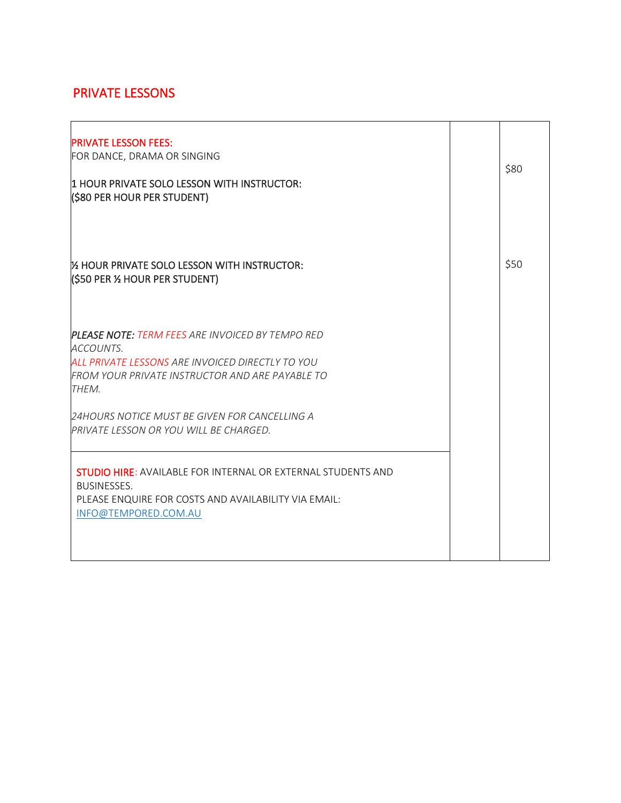# PRIVATE LESSONS

| <b>PRIVATE LESSON FEES:</b><br>FOR DANCE, DRAMA OR SINGING<br>11 HOUR PRIVATE SOLO LESSON WITH INSTRUCTOR:<br>(\$80 PER HOUR PER STUDENT)                                            | \$80 |
|--------------------------------------------------------------------------------------------------------------------------------------------------------------------------------------|------|
| 1/2 HOUR PRIVATE SOLO LESSON WITH INSTRUCTOR:<br>(\$50 PER 1⁄2 HOUR PER STUDENT)                                                                                                     | \$50 |
| <b>PLEASE NOTE: TERM FEES ARE INVOICED BY TEMPO RED</b><br>ACCOUNTS.<br>ALL PRIVATE LESSONS ARE INVOICED DIRECTLY TO YOU<br>FROM YOUR PRIVATE INSTRUCTOR AND ARE PAYABLE TO<br>THEM. |      |
| 24HOURS NOTICE MUST BE GIVEN FOR CANCELLING A<br>PRIVATE LESSON OR YOU WILL BE CHARGED.                                                                                              |      |
| <b>STUDIO HIRE: AVAILABLE FOR INTERNAL OR EXTERNAL STUDENTS AND</b><br><b>BUSINESSES.</b><br>PLEASE ENQUIRE FOR COSTS AND AVAILABILITY VIA EMAIL:<br>INFO@TEMPORED.COM.AU            |      |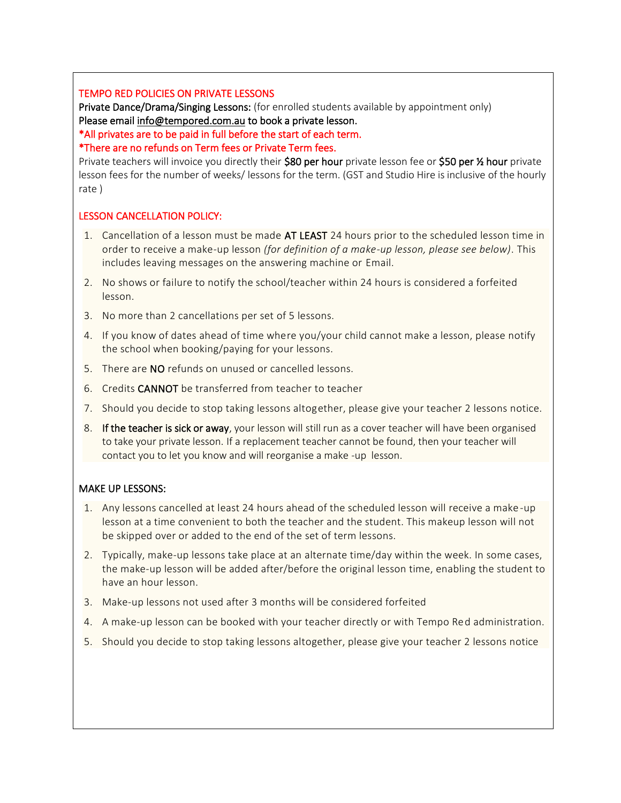### TEMPO RED POLICIES ON PRIVATE LESSONS

Private Dance/Drama/Singing Lessons: (for enrolled students available by appointment only) Please email [info@tempored.com.au](mailto:info@tempored.com.au) to book a private lesson.

\*All privates are to be paid in full before the start of each term.

### \*There are no refunds on Term fees or Private Term fees.

Private teachers will invoice you directly their \$80 per hour private lesson fee or \$50 per % hour private lesson fees for the number of weeks/ lessons for the term. (GST and Studio Hire is inclusive of the hourly rate )

### LESSON CANCELLATION POLICY:

- 1. Cancellation of a lesson must be made AT LEAST 24 hours prior to the scheduled lesson time in order to receive a make-up lesson *(for definition of a make-up lesson, please see below)*. This includes leaving messages on the answering machine or Email.
- 2. No shows or failure to notify the school/teacher within 24 hours is considered a forfeited lesson.
- 3. No more than 2 cancellations per set of 5 lessons.
- 4. If you know of dates ahead of time where you/your child cannot make a lesson, please notify the school when booking/paying for your lessons.
- 5. There are NO refunds on unused or cancelled lessons.
- 6. Credits CANNOT be transferred from teacher to teacher
- 7. Should you decide to stop taking lessons altogether, please give your teacher 2 lessons notice.
- 8. If the teacher is sick or away, your lesson will still run as a cover teacher will have been organised to take your private lesson. If a replacement teacher cannot be found, then your teacher will contact you to let you know and will reorganise a make -up lesson.

### MAKE UP LESSONS:

- 1. Any lessons cancelled at least 24 hours ahead of the scheduled lesson will receive a make -up lesson at a time convenient to both the teacher and the student. This makeup lesson will not be skipped over or added to the end of the set of term lessons.
- 2. Typically, make-up lessons take place at an alternate time/day within the week. In some cases, the make-up lesson will be added after/before the original lesson time, enabling the student to have an hour lesson.
- 3. Make-up lessons not used after 3 months will be considered forfeited
- 4. A make-up lesson can be booked with your teacher directly or with Tempo Red administration.
- 5. Should you decide to stop taking lessons altogether, please give your teacher 2 lessons notice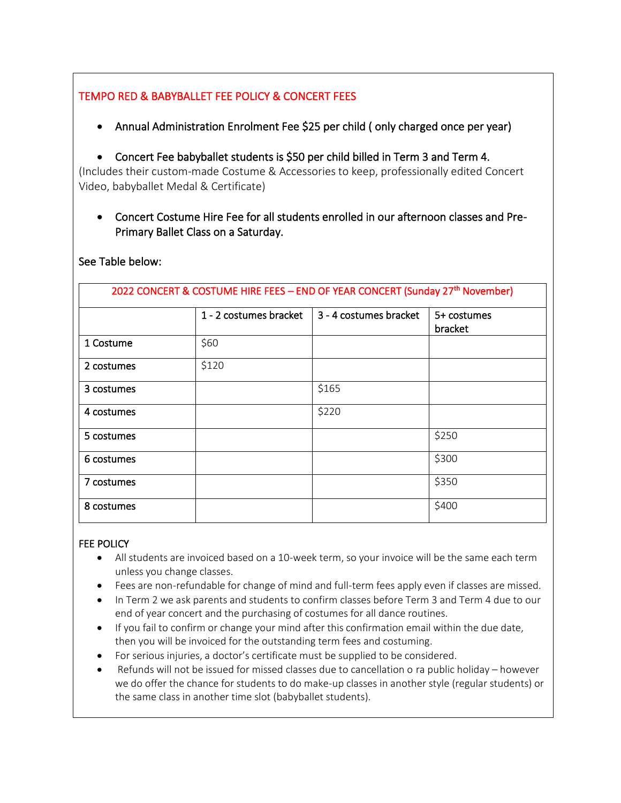# TEMPO RED & BABYBALLET FEE POLICY & CONCERT FEES

- Annual Administration Enrolment Fee \$25 per child ( only charged once per year)
- Concert Fee babyballet students is \$50 per child billed in Term 3 and Term 4.

(Includes their custom-made Costume & Accessories to keep, professionally edited Concert Video, babyballet Medal & Certificate)

• Concert Costume Hire Fee for all students enrolled in our afternoon classes and Pre-Primary Ballet Class on a Saturday.

| 2022 CONCERT & COSTUME HIRE FEES - END OF YEAR CONCERT (Sunday 27th November) |                        |                        |                        |  |
|-------------------------------------------------------------------------------|------------------------|------------------------|------------------------|--|
|                                                                               | 1 - 2 costumes bracket | 3 - 4 costumes bracket | 5+ costumes<br>bracket |  |
| 1 Costume                                                                     | \$60                   |                        |                        |  |
| 2 costumes                                                                    | \$120                  |                        |                        |  |
| 3 costumes                                                                    |                        | \$165                  |                        |  |
| 4 costumes                                                                    |                        | \$220                  |                        |  |
| 5 costumes                                                                    |                        |                        | \$250                  |  |
| 6 costumes                                                                    |                        |                        | \$300                  |  |
| 7 costumes                                                                    |                        |                        | \$350                  |  |
| 8 costumes                                                                    |                        |                        | \$400                  |  |

# See Table below:

# FEE POLICY

- All students are invoiced based on a 10-week term, so your invoice will be the same each term unless you change classes.
- Fees are non-refundable for change of mind and full-term fees apply even if classes are missed.
- In Term 2 we ask parents and students to confirm classes before Term 3 and Term 4 due to our end of year concert and the purchasing of costumes for all dance routines.
- If you fail to confirm or change your mind after this confirmation email within the due date, then you will be invoiced for the outstanding term fees and costuming.
- For serious injuries, a doctor's certificate must be supplied to be considered.
- Refunds will not be issued for missed classes due to cancellation o ra public holiday however we do offer the chance for students to do make-up classes in another style (regular students) or the same class in another time slot (babyballet students).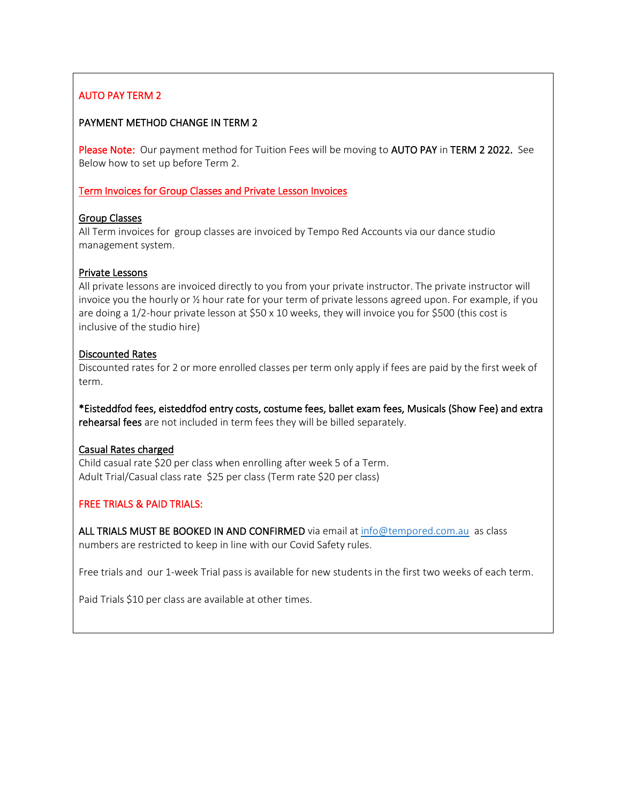# AUTO PAY TERM 2

### PAYMENT METHOD CHANGE IN TERM 2

Please Note: Our payment method for Tuition Fees will be moving to AUTO PAY in TERM 2 2022. See Below how to set up before Term 2.

### Term Invoices for Group Classes and Private Lesson Invoices

### Group Classes

All Term invoices for group classes are invoiced by Tempo Red Accounts via our dance studio management system.

### Private Lessons

All private lessons are invoiced directly to you from your private instructor. The private instructor will invoice you the hourly or ½ hour rate for your term of private lessons agreed upon. For example, if you are doing a 1/2-hour private lesson at \$50 x 10 weeks, they will invoice you for \$500 (this cost is inclusive of the studio hire)

### Discounted Rates

Discounted rates for 2 or more enrolled classes per term only apply if fees are paid by the first week of term.

\*Eisteddfod fees, eisteddfod entry costs, costume fees, ballet exam fees, Musicals (Show Fee) and extra rehearsal fees are not included in term fees they will be billed separately.

# Casual Rates charged

Child casual rate \$20 per class when enrolling after week 5 of a Term. Adult Trial/Casual class rate \$25 per class (Term rate \$20 per class)

# FREE TRIALS & PAID TRIALS:

ALL TRIALS MUST BE BOOKED IN AND CONFIRMED via email at [info@tempored.com.au](mailto:info@tempored.com.au) as class numbers are restricted to keep in line with our Covid Safety rules.

Free trials and our 1-week Trial pass is available for new students in the first two weeks of each term.

Paid Trials \$10 per class are available at other times.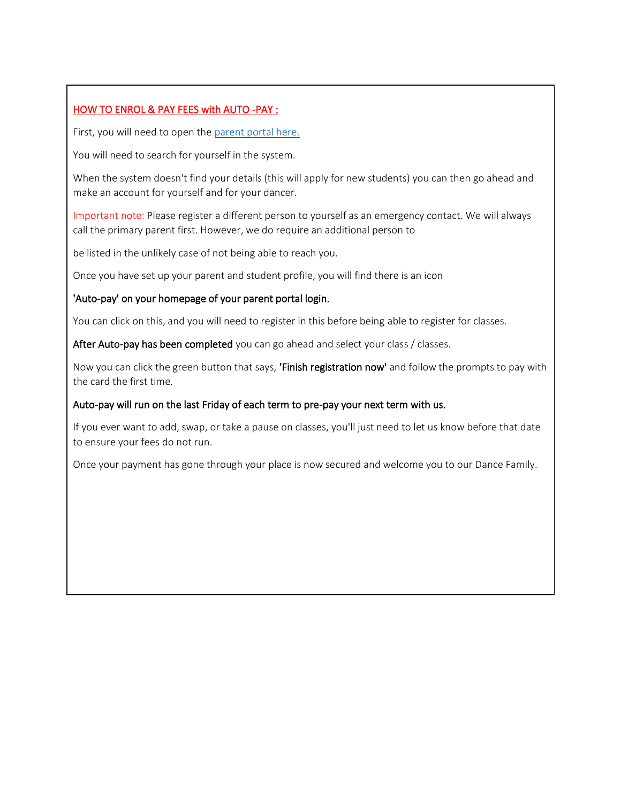# HOW TO ENROL & PAY FEES with AUTO -PAY :

 $\overline{a}$ 

 $\overline{a}$ 

First, you will need to open the parent portal here.

You will need to search for yourself in the system.

When the system doesn't find your details (this will apply for new students) you can then go ahead and make an account for yourself and for your dancer.

Important note: Please register a different person to yourself as an emergency contact. We will always call the primary parent first. However, we do require an additional person to

be listed in the unlikely case of not being able to reach you.

Once you have set up your parent and student profile, you will find there is an icon

### 'Auto-pay' on your homepage of your parent portal login.

You can click on this, and you will need to register in this before being able to register for classes.

After Auto-pay has been completed you can go ahead and select your class / classes.

Now you can click the green button that says, 'Finish registration now' and follow the prompts to pay with the card the first time.

### Auto-pay will run on the last Friday of each term to pre-pay your next term with us.

If you ever want to add, swap, or take a pause on classes, you'll just need to let us know before that date to ensure your fees do not run.

Once your payment has gone through your place is now secured and welcome you to our Dance Family.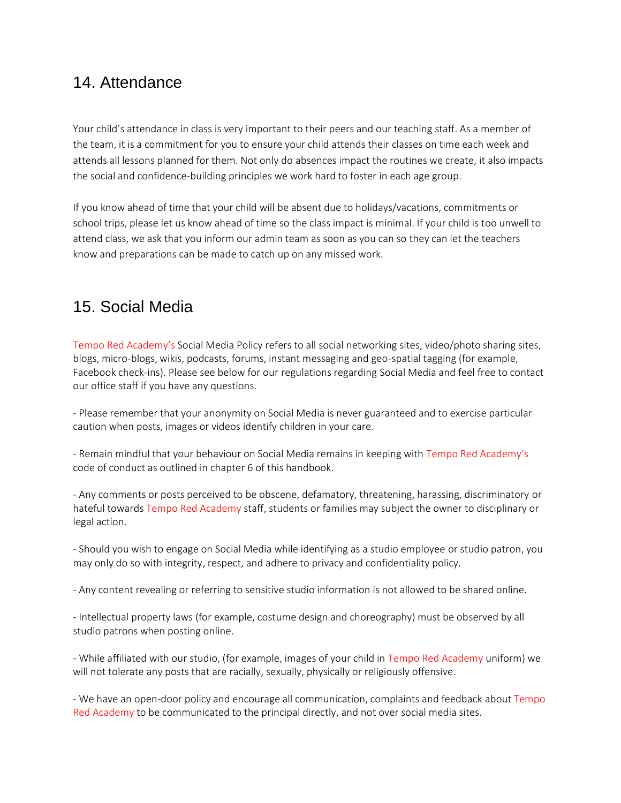# <span id="page-23-0"></span>14. Attendance

Your child's attendance in class is very important to their peers and our teaching staff. As a member of the team, it is a commitment for you to ensure your child attends their classes on time each week and attends all lessons planned for them. Not only do absences impact the routines we create, it also impacts the social and confidence-building principles we work hard to foster in each age group.

If you know ahead of time that your child will be absent due to holidays/vacations, commitments or school trips, please let us know ahead of time so the class impact is minimal. If your child is too unwell to attend class, we ask that you inform our admin team as soon as you can so they can let the teachers know and preparations can be made to catch up on any missed work.

# <span id="page-23-1"></span>15. Social Media

Tempo Red Academy's Social Media Policy refers to all social networking sites, video/photo sharing sites, blogs, micro-blogs, wikis, podcasts, forums, instant messaging and geo-spatial tagging (for example, Facebook check-ins). Please see below for our regulations regarding Social Media and feel free to contact our office staff if you have any questions.

- Please remember that your anonymity on Social Media is never guaranteed and to exercise particular caution when posts, images or videos identify children in your care.

- Remain mindful that your behaviour on Social Media remains in keeping with Tempo Red Academy's code of conduct as outlined in chapter 6 of this handbook.

- Any comments or posts perceived to be obscene, defamatory, threatening, harassing, discriminatory or hateful towards Tempo Red Academy staff, students or families may subject the owner to disciplinary or legal action.

- Should you wish to engage on Social Media while identifying as a studio employee or studio patron, you may only do so with integrity, respect, and adhere to privacy and confidentiality policy.

- Any content revealing or referring to sensitive studio information is not allowed to be shared online.

- Intellectual property laws (for example, costume design and choreography) must be observed by all studio patrons when posting online.

- While affiliated with our studio, (for example, images of your child in Tempo Red Academy uniform) we will not tolerate any posts that are racially, sexually, physically or religiously offensive.

- We have an open-door policy and encourage all communication, complaints and feedback about Tempo Red Academy to be communicated to the principal directly, and not over social media sites.